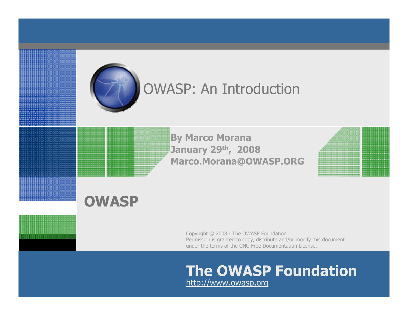

## OWASP: An Introduction

By Marco Morana January 29th, 2008Marco.Morana@OWASP.ORG

#### **OWASP**

Copyright © 2008 - The OWASP Foundation Permission is granted to copy, distribute and/or modify this document under the terms of the GNU Free Documentation License.

# The OWASP Foundation

http://www.owasp.org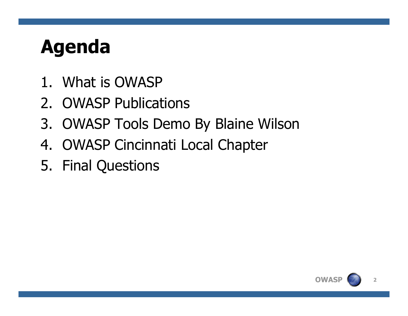# Agenda

- 1. What is OWASP
- 2. OWASP Publications
- 3. OWASP Tools Demo By Blaine Wilson
- 4. OWASP Cincinnati Local Chapter
- 5. Final Questions

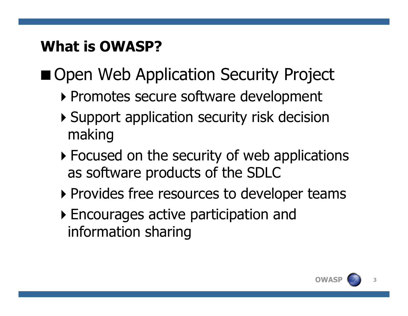## What is OWASP?

## Open Web Application Security Project

- -Promotes secure software development
- -Support application security risk decision making
- **Focused on the security of web applications** as software products of the SDLC
- -Provides free resources to developer teams
- -Encourages active participation and information sharing

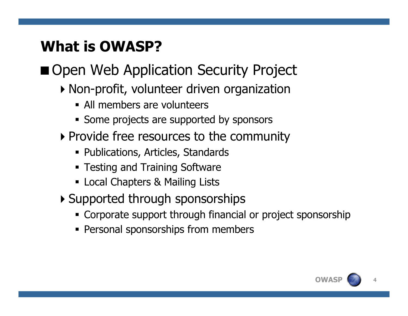## What is OWASP?

## Open Web Application Security Project

- -Non-profit, volunteer driven organization
	- All members are volunteers
	- **Some projects are supported by sponsors**
- -Provide free resources to the community
	- Publications, Articles, Standards
	- **Testing and Training Software**
	- Local Chapters & Mailing Lists
- $\blacktriangleright$  Supported through sponsorships
	- Corporate support through financial or project sponsorship
	- **Personal sponsorships from members**

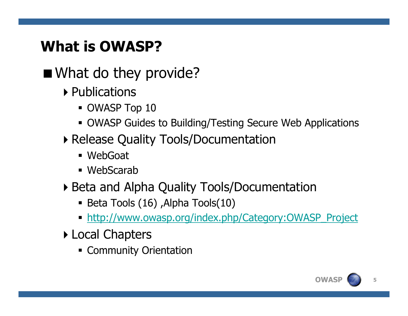## What is OWASP?

■ What do they provide?

- $\blacktriangleright$  Publications
	- OWASP Top 10
	- OWASP Guides to Building/Testing Secure Web Applications
- **Release Quality Tools/Documentation** 
	- WebGoat
	- WebScarab
- -Beta and Alpha Quality Tools/Documentation
	- Beta Tools (16) ,Alpha Tools(10)
	- http://www.owasp.org/index.php/Category:OWASP\_Project
- **Local Chapters** 
	- Community Orientation

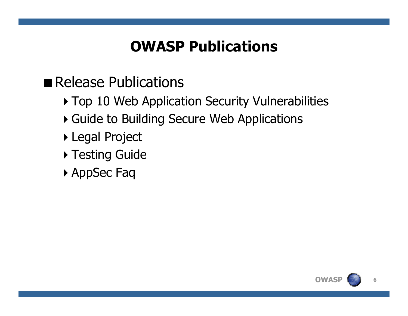## OWASP Publications

## Release Publications

- **Top 10 Web Application Security Vulnerabilities**
- -Guide to Building Secure Web Applications
- -Legal Project
- $\blacktriangleright$  Testing Guide
- -AppSec Faq

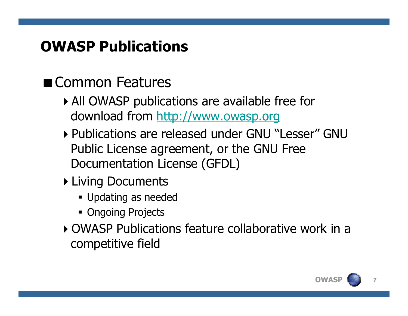## OWASP Publications

## Common Features

- -All OWASP publications are available free for download from http://www.owasp.org
- -Publications are released under GNU "Lesser" GNU Public License agreement, or the GNU Free Documentation License (GFDL)
- $\blacktriangleright$  Living Documents
	- Updating as needed
	- Ongoing Projects
- -OWASP Publications feature collaborative work in a competitive field

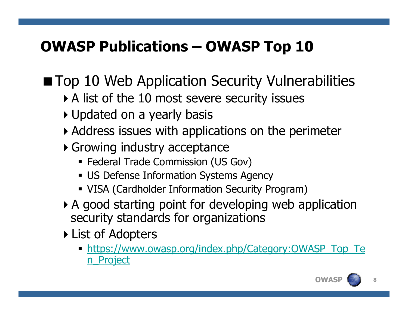## OWASP Publications – OWASP Top 10

**Top 10 Web Application Security Vulnerabilities** 

- $\blacktriangleright$  A list of the 10 most severe security issues
- -Updated on a yearly basis
- $\blacktriangleright$  Address issues with applications on the perimeter
- **Growing industry acceptance** 
	- Federal Trade Commission (US Gov)
	- US Defense Information Systems Agency
	- VISA (Cardholder Information Security Program)
- -A good starting point for developing web application security standards for organizations
- $\blacktriangleright$  List of Adopters
	- https://www.owasp.org/index.php/Category:OWASP\_Top\_Te n Project

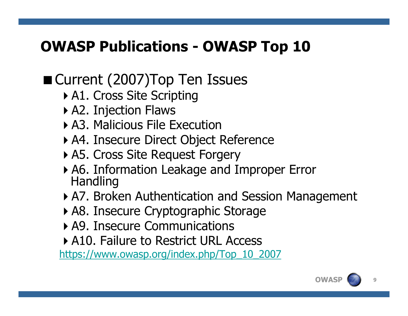## OWASP Publications - OWASP Top 10

## ■ Current (2007) Top Ten Issues

- $\blacktriangleright$  A1. Cross Site Scripting
- $\blacktriangleright$  A2. Injection Flaws
- -A3. Malicious File Execution
- -A4. Insecure Direct Object Reference
- -A5. Cross Site Request Forgery
- -A6. Information Leakage and Improper Error Handling
- **A7. Broken Authentication and Session Management**
- **A8. Insecure Cryptographic Storage**
- -A9. Insecure Communications
- -A10. Failure to Restrict URL Access

https://www.owasp.org/index.php/Top\_10\_2007

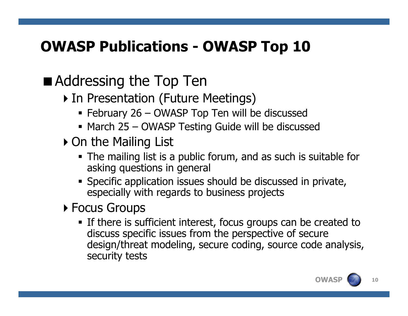## OWASP Publications - OWASP Top 10

## ■ Addressing the Top Ten

- **In Presentation (Future Meetings)** 
	- February 26 OWASP Top Ten will be discussed
	- March 25 OWASP Testing Guide will be discussed<br>}n the Mailing List
- -On the Mailing List
	- The mailing list is a public forum, and as such is suitable for asking questions in general
	- **Specific application issues should be discussed in private,** especially with regards to business projects
- **Focus Groups** 
	- If there is sufficient interest, focus groups can be created to discuss specific issues from the perspective of secure design/threat modeling, secure coding, source code analysis, security tests

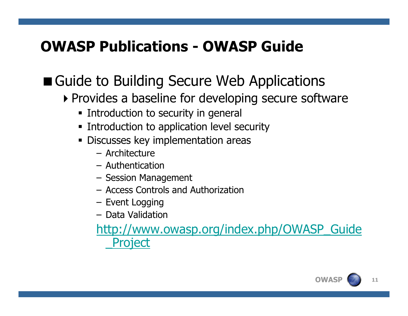#### OWASP Publications - OWASP Guide

## ■ Guide to Building Secure Web Applications

- -Provides a baseline for developing secure software
	- **Example 1** Introduction to security in general
	- **Example 21 Introduction to application level security**
	- **Discusses key implementation areas** 
		- Architecture
		- Authentication
		- Session Management<br>– Access Controls and *L*
		- Access Controls and Authorization<br>– Event Logging
		- Event Logging
		- Data Validation

http://www.owasp.org/index.php/OWASP\_Guide \_Project

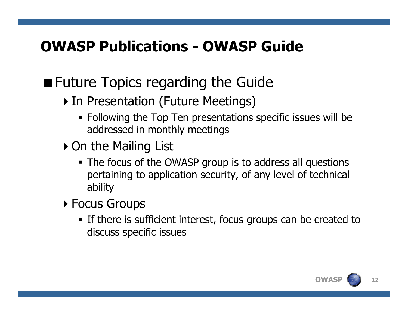## OWASP Publications - OWASP Guide

## **Future Topics regarding the Guide**

- **In Presentation (Future Meetings)** 
	- Following the Top Ten presentations specific issues will be addressed in monthly meetings
- -On the Mailing List
	- The focus of the OWASP group is to address all questions pertaining to application security, of any level of technical ability
- **Focus Groups** 
	- **If there is sufficient interest, focus groups can be created to** discuss specific issues

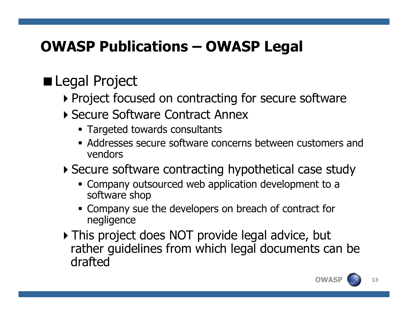## OWASP Publications – OWASP Legal

## **Legal Project**

- **Project focused on contracting for secure software**
- -Secure Software Contract Annex
	- Targeted towards consultants
	- **Addresses secure software concerns between customers and** vendors
- -Secure software contracting hypothetical case study
	- **Company outsourced web application development to a** software shop
	- **Company sue the developers on breach of contract for** negligence
- $\blacktriangleright$  This project does NOT provide legal advice, but rather guidelines from which legal documents can bedrafted

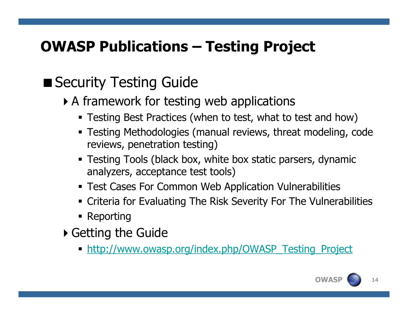## OWASP Publications – Testing Project

## ■ Security Testing Guide

- $\blacktriangleright$  A framework for testing web applications
	- Testing Best Practices (when to test, what to test and how)
	- Testing Methodologies (manual reviews, threat modeling, code reviews, penetration testing)
	- Testing Tools (black box, white box static parsers, dynamic analyzers, acceptance test tools)
	- Test Cases For Common Web Application Vulnerabilities
	- Criteria for Evaluating The Risk Severity For The Vulnerabilities
	- $\textcolor{red}{\bullet}$  Reporting
- $\blacktriangleright$  Getting the Guide
	- http://www.owasp.org/index.php/OWASP\_Testing\_Project

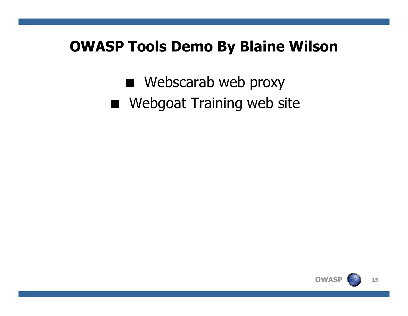#### OWASP Tools Demo By Blaine Wilson

- Webscarab web proxy
- **Nebgoat Training web site**

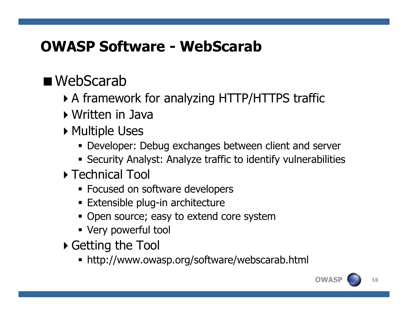## ■ WebScarab

- -A framework for analyzing HTTP/HTTPS traffic
- $\blacktriangleright$  Written in Java
- $\blacktriangleright$  Multiple Uses
	- Developer: Debug exchanges between client and server
	- Security Analyst: Analyze traffic to identify vulnerabilities
- **Technical Tool** 
	- **Focused on software developers**
	- Extensible plug-in architecture
	- **Open source; easy to extend core system**
	- Very powerful tool
- $\blacktriangleright$  Getting the Tool
	- http://www.owasp.org/software/webscarab.html

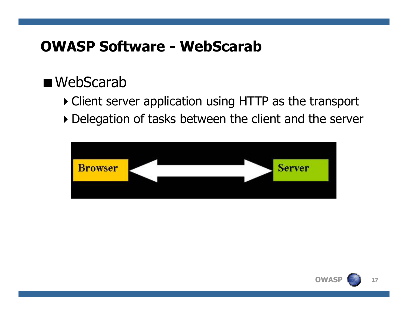#### ■ WebScarab

- -Client server application using HTTP as the transport
- -Delegation of tasks between the client and the server



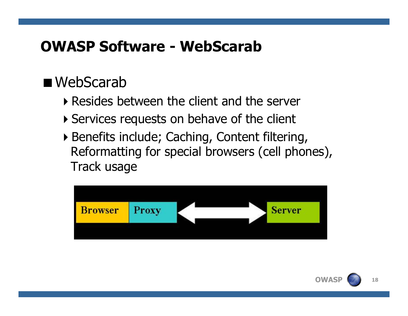#### ■ WebScarab

- -Resides between the client and the server
- -Services requests on behave of the client
- -Benefits include; Caching, Content filtering, Reformatting for special browsers (cell phones), Track usage



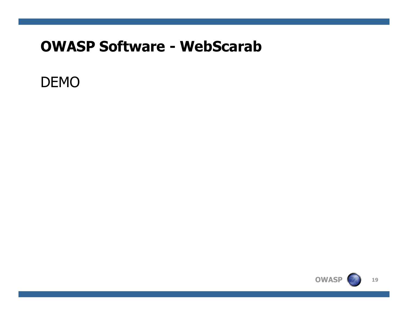#### DEMO

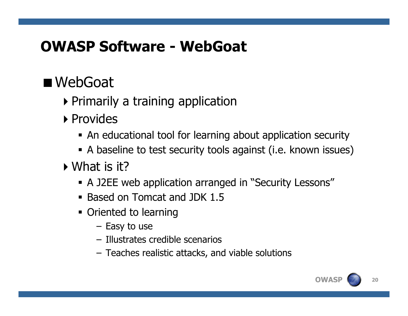#### OWASP Software - WebGoat

## ■ WebGoat

- $\blacktriangleright$  Primarily a training application
- ▶ Provides
	- An educational tool for learning about application security
	- A baseline to test security tools against (i.e. known issues)
- $\blacktriangleright$  What is it?
	- A J2EE web application arranged in "Security Lessons"
	- Based on Tomcat and JDK 1.5
	- **Oriented to learning** 
		- Easy to use
		- Illustrates credible scenarios
		- Teaches realistic attacks, and viable solutions

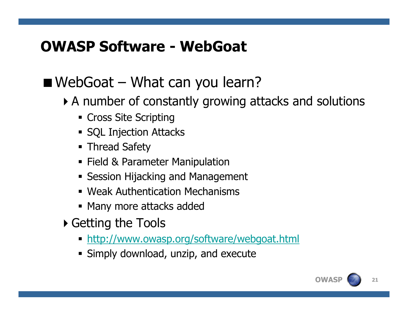#### OWASP Software - WebGoat

#### $\blacksquare$  WebGoat – What can you learn?

- -A number of constantly growing attacks and solutions
	- Cross Site Scripting
	- **SQL Injection Attacks**
	- **Thread Safety**
	- **Field & Parameter Manipulation**
	- **Session Hijacking and Management**
	- Weak Authentication Mechanisms
	- Many more attacks added
- $\blacktriangleright$  Getting the Tools
	- http://www.owasp.org/software/webgoat.html
	- **Simply download, unzip, and execute**

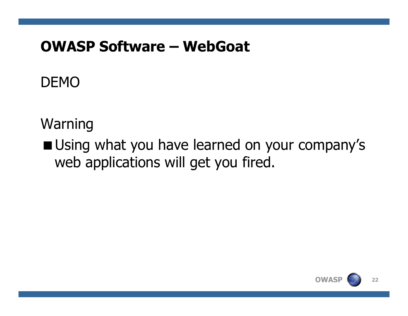#### OWASP Software – WebGoat

#### DEMO

#### Warning

**Using what you have learned on your company's** web applications will get you fired.

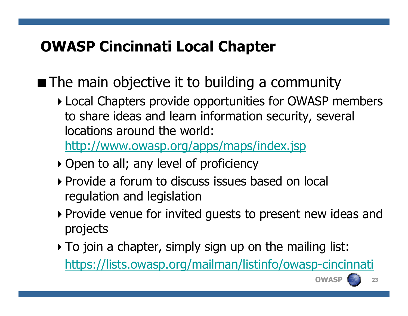■ The main objective it to building a community

**Local Chapters provide opportunities for OWASP members** to share ideas and learn information security, several locations around the world:

http://www.owasp.org/apps/maps/index.jsp

- -Open to all; any level of proficiency
- -Provide a forum to discuss issues based on local regulation and legislation
- -Provide venue for invited guests to present new ideas and projects
- $\blacktriangleright$  To join a chapter, simply sign up on the mailing list: https://lists.owasp.org/mailman/listinfo/owasp-cincinnati



**OWASP**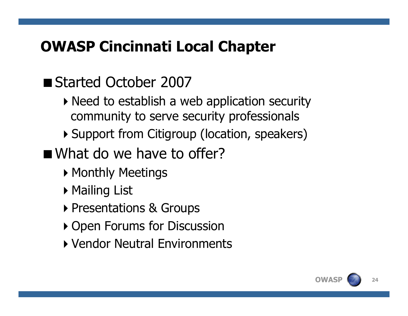## ■ Started October 2007

- $\blacktriangleright$  Need to establish a web application security community to serve security professionals
- -Support from Citigroup (location, speakers)
- What do we have to offer?
	- $\blacktriangleright$  Monthly Meetings
	- -Mailing List
	- -Presentations & Groups
	- -Open Forums for Discussion
	- -Vendor Neutral Environments

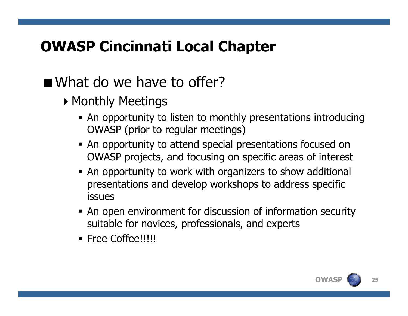- $\blacktriangleright$  Monthly Meetings
	- An opportunity to listen to monthly presentations introducing OWASP (prior to regular meetings)
	- **An opportunity to attend special presentations focused on** OWASP projects, and focusing on specific areas of interest
	- **An opportunity to work with organizers to show additional** presentations and develop workshops to address specific issues
	- An open environment for discussion of information security suitable for novices, professionals, and experts
	- Free Coffee!!!!!

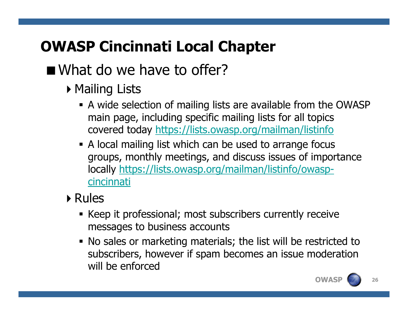- $\blacktriangleright$  Mailing Lists
	- A wide selection of mailing lists are available from the OWASP main page, including specific mailing lists for all topics covered today https://lists.owasp.org/mailman/listinfo
	- A local mailing list which can be used to arrange focus groups, monthly meetings, and discuss issues of importance locally https://lists.owasp.org/mailman/listinfo/owaspcincinnati
- -Rules
	- Keep it professional; most subscribers currently receive messages to business accounts
	- No sales or marketing materials; the list will be restricted to subscribers, however if spam becomes an issue moderation will be enforced

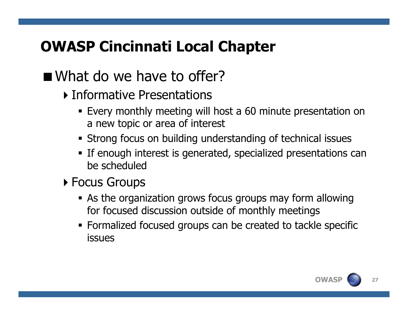- **Informative Presentations** 
	- Every monthly meeting will host a 60 minute presentation on a new topic or area of interest
	- Strong focus on building understanding of technical issues
	- **If enough interest is generated, specialized presentations can** be scheduled
- **Focus Groups** 
	- As the organization grows focus groups may form allowing for focused discussion outside of monthly meetings
	- Formalized focused groups can be created to tackle specific issues

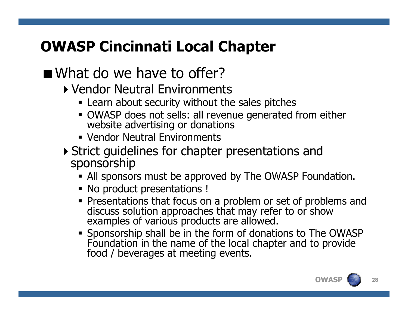- -Vendor Neutral Environments
	- **Exame about security without the sales pitches**
	- OWASP does not sells: all revenue generated from either website advertising or donations
	- Vendor Neutral Environments
- -Strict guidelines for chapter presentations and sponsorship
	- All sponsors must be approved by The OWASP Foundation.
	- **No product presentations !**
	- Presentations that focus on a problem or set of problems and discuss solution approaches that may refer to or show examples of various products are allowed.
	- . Snonsorshin shall he in the form of donation Foundation in the name of the local chapter and to provide food / beverages at meeting events.

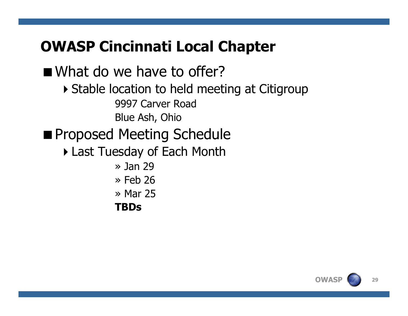What do we have to offer? Stable location to held meeting at Citigroup 9997 Carver Road Blue Ash, Ohio**Proposed Meeting Schedule**  -Last Tuesday of Each Month» Jan 29<br>» Feb 26 » Feb 26<br>» Mar 25 » Mar 25<br>**TRDc TBDs**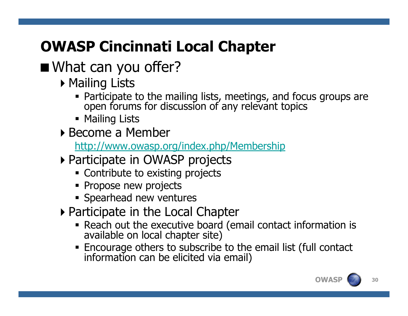## What can you offer?

- $\blacktriangleright$  Mailing Lists
	- Participate to the mailing lists, meetings, and focus groups are open forums for discussion of any relevant topics
	- **•** Mailing Lists
- -Become a Member

http://www.owasp.org/index.php/Membership

- -Participate in OWASP projects
	- Contribute to existing projects
	- **Propose new projects**
	- **Spearhead new ventures**
- -Participate in the Local Chapter
	- **Reach out the executive board (email contact information is available on local chapter site)**
	- Encourage others to subscribe to the email list (full contact information can be elicited via email)

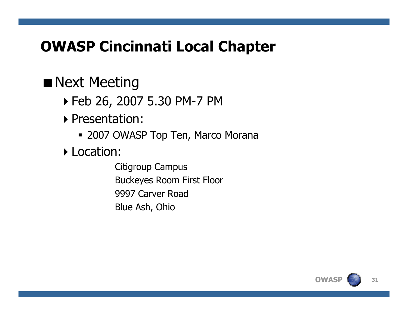#### **Next Meeting**

- -Feb 26, 2007 5.30 PM-7 PM
- -Presentation:
	- 2007 OWASP Top Ten, Marco Morana
- **Location:** 
	- Citigroup CampusBuckeyes Room First Floor9997 Carver Road Blue Ash, Ohio